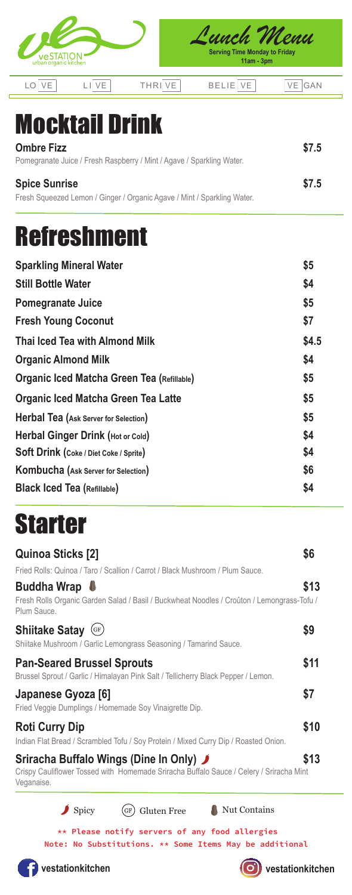| urban organic kitchen |  |      | unch Menu!<br><b>Serving Time Monday to Friday</b><br>$11am - 3pm$ |     |
|-----------------------|--|------|--------------------------------------------------------------------|-----|
|                       |  | THRI | <b>BELIE</b>                                                       | GAN |

## Mocktail Drink

| <b>Ombre Fizz</b>                                                       | \$7.5 |
|-------------------------------------------------------------------------|-------|
| Pomegranate Juice / Fresh Raspberry / Mint / Agave / Sparkling Water.   |       |
| <b>Spice Sunrise</b>                                                    | \$7.5 |
| Fresh Squeezed Lemon / Ginger / Organic Agave / Mint / Sparkling Water. |       |

## Refreshment

| <b>Sparkling Mineral Water</b>                    | \$5   |
|---------------------------------------------------|-------|
| <b>Still Bottle Water</b>                         | \$4   |
| <b>Pomegranate Juice</b>                          | \$5   |
| <b>Fresh Young Coconut</b>                        | \$7   |
| Thai Iced Tea with Almond Milk                    | \$4.5 |
| <b>Organic Almond Milk</b>                        | \$4   |
| <b>Organic Iced Matcha Green Tea (Refillable)</b> | \$5   |
| <b>Organic Iced Matcha Green Tea Latte</b>        | \$5   |
| Herbal Tea (Ask Server for Selection)             | \$5   |
| Herbal Ginger Drink (Hot or Cold)                 | \$4   |
| <b>Soft Drink (Coke / Diet Coke / Sprite)</b>     | \$4   |
| Kombucha (Ask Server for Selection)               | \$6   |
| <b>Black Iced Tea (Refillable)</b>                | \$4   |

## **Starter**

| <b>Quinoa Sticks [2]</b>                                                                                                                         | \$6  |
|--------------------------------------------------------------------------------------------------------------------------------------------------|------|
| Fried Rolls: Quinoa / Taro / Scallion / Carrot / Black Mushroom / Plum Sauce.                                                                    |      |
| <b>Buddha Wrap</b><br>Fresh Rolls Organic Garden Salad / Basil / Buckwheat Noodles / Croûton / Lemongrass-Tofu /<br>Plum Sauce.                  | \$13 |
| <b>Shiitake Satay</b><br>(GF)<br>Shiitake Mushroom / Garlic Lemongrass Seasoning / Tamarind Sauce.                                               | \$9  |
| <b>Pan-Seared Brussel Sprouts</b><br>Brussel Sprout / Garlic / Himalayan Pink Salt / Tellicherry Black Pepper / Lemon.                           | \$11 |
| Japanese Gyoza [6]<br>Fried Veggie Dumplings / Homemade Soy Vinaigrette Dip.                                                                     | \$7  |
| <b>Roti Curry Dip</b><br>Indian Flat Bread / Scrambled Tofu / Soy Protein / Mixed Curry Dip / Roasted Onion.                                     | \$10 |
| Sriracha Buffalo Wings (Dine In Only) ♪<br>Crispy Cauliflower Tossed with Homemade Sriracha Buffalo Sauce / Celery / Sriracha Mint<br>Veganaise. | \$13 |
| Spicy<br>Nut Contains<br><b>Gluten Free</b><br>GF                                                                                                |      |

Note: No Substitutions. \*\* Some Items May be additional \*\* Please notify servers of any food allergies